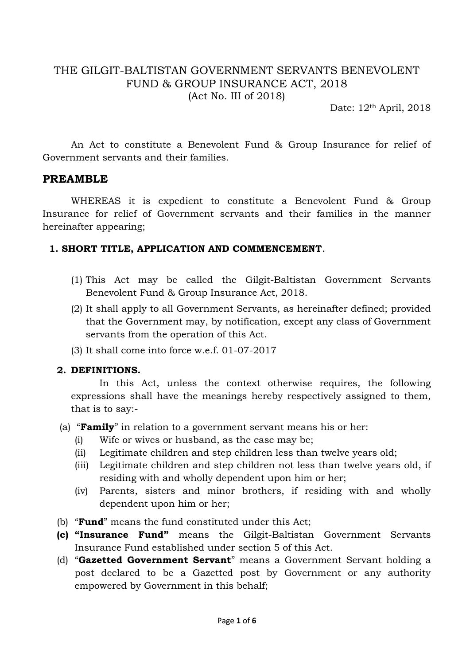## THE GILGIT-BALTISTAN GOVERNMENT SERVANTS BENEVOLENT FUND & GROUP INSURANCE ACT, 2018 (Act No. III of 2018)

Date:  $12<sup>th</sup>$  April, 2018

An Act to constitute a Benevolent Fund & Group Insurance for relief of Government servants and their families.

### **PREAMBLE**

WHEREAS it is expedient to constitute a Benevolent Fund & Group Insurance for relief of Government servants and their families in the manner hereinafter appearing;

### **1. SHORT TITLE, APPLICATION AND COMMENCEMENT**.

- (1) This Act may be called the Gilgit-Baltistan Government Servants Benevolent Fund & Group Insurance Act, 2018.
- (2) It shall apply to all Government Servants, as hereinafter defined; provided that the Government may, by notification, except any class of Government servants from the operation of this Act.
- (3) It shall come into force w.e.f. 01-07-2017

## **2. DEFINITIONS.**

In this Act, unless the context otherwise requires, the following expressions shall have the meanings hereby respectively assigned to them, that is to say:-

- (a) "**Family**" in relation to a government servant means his or her:
	- (i) Wife or wives or husband, as the case may be;
	- (ii) Legitimate children and step children less than twelve years old;
	- (iii) Legitimate children and step children not less than twelve years old, if residing with and wholly dependent upon him or her;
	- (iv) Parents, sisters and minor brothers, if residing with and wholly dependent upon him or her;
- (b) "**Fund**" means the fund constituted under this Act;
- **(c) "Insurance Fund"** means the Gilgit-Baltistan Government Servants Insurance Fund established under section 5 of this Act.
- (d) "**Gazetted Government Servant**" means a Government Servant holding a post declared to be a Gazetted post by Government or any authority empowered by Government in this behalf;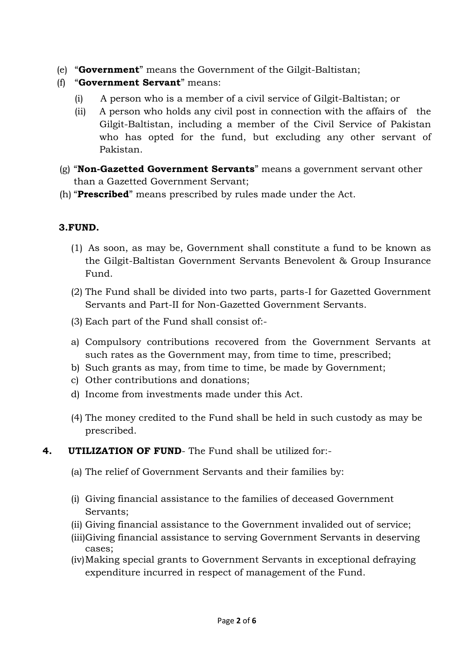- (e) "**Government**" means the Government of the Gilgit-Baltistan;
- (f) "**Government Servant**" means:
	- (i) A person who is a member of a civil service of Gilgit-Baltistan; or
	- (ii) A person who holds any civil post in connection with the affairs of the Gilgit-Baltistan, including a member of the Civil Service of Pakistan who has opted for the fund, but excluding any other servant of Pakistan.
- (g) "**Non-Gazetted Government Servants**" means a government servant other than a Gazetted Government Servant;
- (h) "**Prescribed**" means prescribed by rules made under the Act.

## **3.FUND.**

- (1) As soon, as may be, Government shall constitute a fund to be known as the Gilgit-Baltistan Government Servants Benevolent & Group Insurance Fund.
- (2) The Fund shall be divided into two parts, parts-I for Gazetted Government Servants and Part-II for Non-Gazetted Government Servants.
- (3) Each part of the Fund shall consist of:-
- a) Compulsory contributions recovered from the Government Servants at such rates as the Government may, from time to time, prescribed;
- b) Such grants as may, from time to time, be made by Government;
- c) Other contributions and donations;
- d) Income from investments made under this Act.
- (4) The money credited to the Fund shall be held in such custody as may be prescribed.
- **4. UTILIZATION OF FUND** The Fund shall be utilized for:-
	- (a) The relief of Government Servants and their families by:
	- (i) Giving financial assistance to the families of deceased Government Servants;
	- (ii) Giving financial assistance to the Government invalided out of service;
	- (iii)Giving financial assistance to serving Government Servants in deserving cases;
	- (iv)Making special grants to Government Servants in exceptional defraying expenditure incurred in respect of management of the Fund.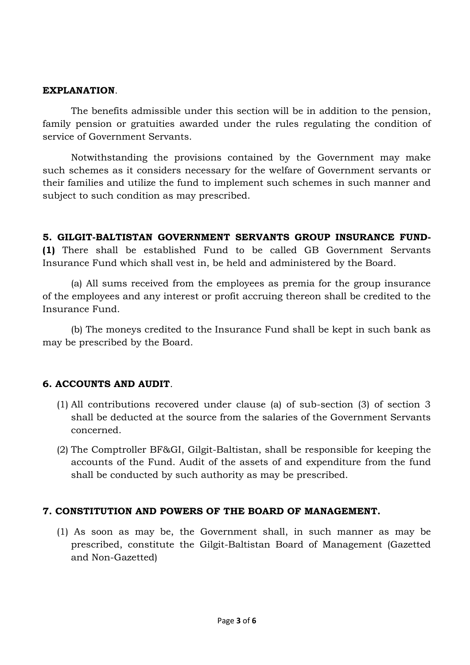### **EXPLANATION**.

The benefits admissible under this section will be in addition to the pension, family pension or gratuities awarded under the rules regulating the condition of service of Government Servants.

Notwithstanding the provisions contained by the Government may make such schemes as it considers necessary for the welfare of Government servants or their families and utilize the fund to implement such schemes in such manner and subject to such condition as may prescribed.

**5. GILGIT-BALTISTAN GOVERNMENT SERVANTS GROUP INSURANCE FUND- (1)** There shall be established Fund to be called GB Government Servants Insurance Fund which shall vest in, be held and administered by the Board.

(a) All sums received from the employees as premia for the group insurance of the employees and any interest or profit accruing thereon shall be credited to the Insurance Fund.

(b) The moneys credited to the Insurance Fund shall be kept in such bank as may be prescribed by the Board.

### **6. ACCOUNTS AND AUDIT**.

- (1) All contributions recovered under clause (a) of sub-section (3) of section 3 shall be deducted at the source from the salaries of the Government Servants concerned.
- (2) The Comptroller BF&GI, Gilgit-Baltistan, shall be responsible for keeping the accounts of the Fund. Audit of the assets of and expenditure from the fund shall be conducted by such authority as may be prescribed.

### **7. CONSTITUTION AND POWERS OF THE BOARD OF MANAGEMENT.**

(1) As soon as may be, the Government shall, in such manner as may be prescribed, constitute the Gilgit-Baltistan Board of Management (Gazetted and Non-Gazetted)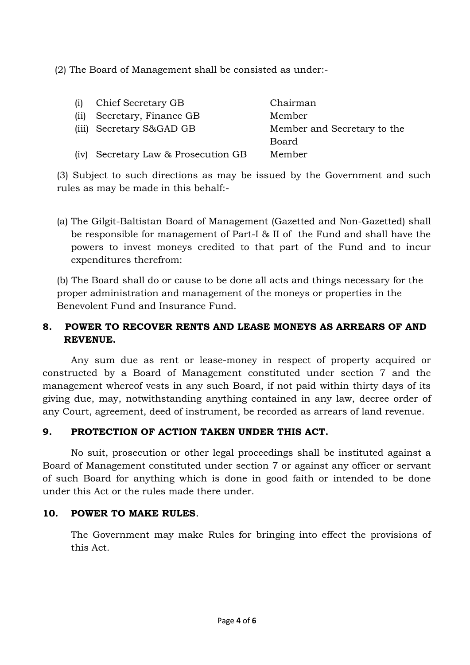(2) The Board of Management shall be consisted as under:-

| Chief Secretary GB | Chairman                                                                                 |
|--------------------|------------------------------------------------------------------------------------------|
|                    | Member                                                                                   |
|                    | Member and Secretary to the                                                              |
|                    | Board                                                                                    |
|                    | Member                                                                                   |
|                    | Secretary, Finance GB<br>(iii) Secretary S&GAD GB<br>(iv) Secretary Law & Prosecution GB |

(3) Subject to such directions as may be issued by the Government and such rules as may be made in this behalf:-

(a) The Gilgit-Baltistan Board of Management (Gazetted and Non-Gazetted) shall be responsible for management of Part-I & II of the Fund and shall have the powers to invest moneys credited to that part of the Fund and to incur expenditures therefrom:

(b) The Board shall do or cause to be done all acts and things necessary for the proper administration and management of the moneys or properties in the Benevolent Fund and Insurance Fund.

# **8. POWER TO RECOVER RENTS AND LEASE MONEYS AS ARREARS OF AND REVENUE.**

Any sum due as rent or lease-money in respect of property acquired or constructed by a Board of Management constituted under section 7 and the management whereof vests in any such Board, if not paid within thirty days of its giving due, may, notwithstanding anything contained in any law, decree order of any Court, agreement, deed of instrument, be recorded as arrears of land revenue.

# **9. PROTECTION OF ACTION TAKEN UNDER THIS ACT.**

No suit, prosecution or other legal proceedings shall be instituted against a Board of Management constituted under section 7 or against any officer or servant of such Board for anything which is done in good faith or intended to be done under this Act or the rules made there under.

## **10. POWER TO MAKE RULES**.

The Government may make Rules for bringing into effect the provisions of this Act.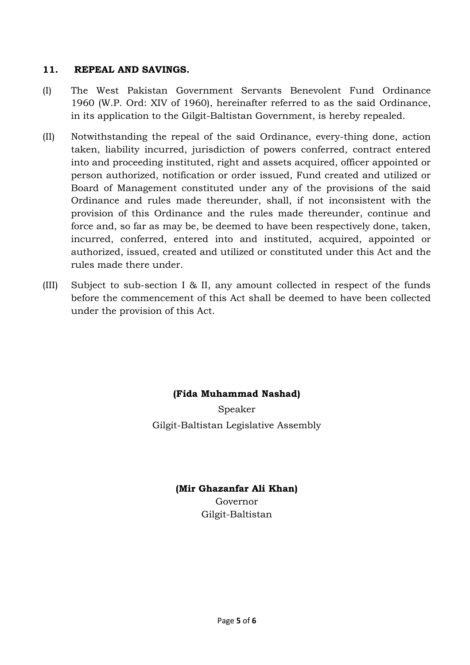### **11. REPEAL AND SAVINGS.**

- (I) The West Pakistan Government Servants Benevolent Fund Ordinance 1960 (W.P. Ord: XIV of 1960), hereinafter referred to as the said Ordinance, in its application to the Gilgit-Baltistan Government, is hereby repealed.
- (II) Notwithstanding the repeal of the said Ordinance, every-thing done, action taken, liability incurred, jurisdiction of powers conferred, contract entered into and proceeding instituted, right and assets acquired, officer appointed or person authorized, notification or order issued, Fund created and utilized or Board of Management constituted under any of the provisions of the said Ordinance and rules made thereunder, shall, if not inconsistent with the provision of this Ordinance and the rules made thereunder, continue and force and, so far as may be, be deemed to have been respectively done, taken, incurred, conferred, entered into and instituted, acquired, appointed or authorized, issued, created and utilized or constituted under this Act and the rules made there under.
- (III) Subject to sub-section I & II, any amount collected in respect of the funds before the commencement of this Act shall be deemed to have been collected under the provision of this Act.

## **(Fida Muhammad Nashad)**

Speaker Gilgit-Baltistan Legislative Assembly

#### **(Mir Ghazanfar Ali Khan)**

Governor Gilgit-Baltistan